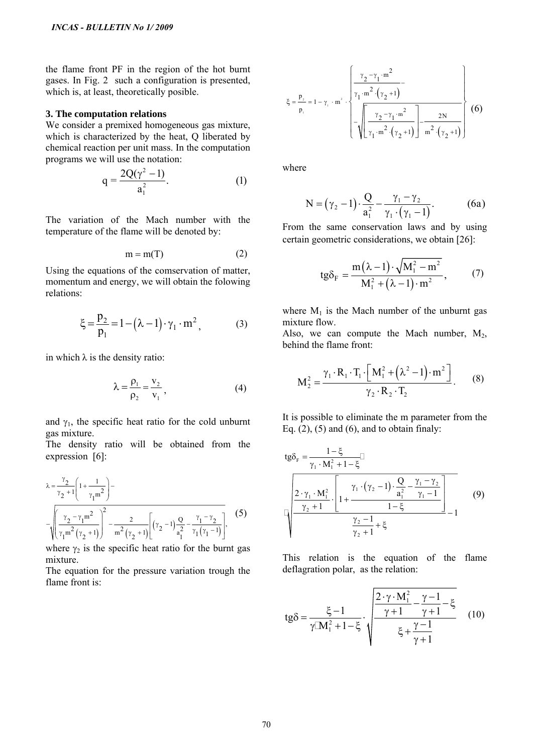the flame front PF in the region of the hot burnt gases. In Fig. 2 such a configuration is presented, which is, at least, theoretically posible.

## **3. The computation relations**

We consider a premixed homogeneous gas mixture, which is characterized by the heat, Q liberated by chemical reaction per unit mass. In the computation programs we will use the notation:

$$
q = \frac{2Q(\gamma^2 - 1)}{a_1^2}.
$$
 (1)

The variation of the Mach number with the temperature of the flame will be denoted by:

$$
m = m(T) \tag{2}
$$

Using the equations of the comservation of matter, momentum and energy, we will obtain the folowing relations:

$$
\xi = \frac{p_2}{p_1} = 1 - (\lambda - 1) \cdot \gamma_1 \cdot m^2, \tag{3}
$$

in which  $\lambda$  is the density ratio:

$$
\lambda = \frac{\rho_1}{\rho_2} = \frac{v_2}{v_1},
$$
 (4)

and  $\gamma_1$ , the specific heat ratio for the cold unburnt gas mixture.

The density ratio will be obtained from the expression [6]:

*IVCAS-BULETIN No L'2009*  
\nthe flame front PF in the region of the hot burn  
\ngases. In Fig. 2 such a configuration is presented,  
\nwhich is, at least, theoretically possible.  
\n**3. The computation relations**  
\nWe consider a permeed homogeneous gas mixture,  
\nwhich is characterized by the heat, Q liberated by  
\nchemical reaction per unit mass. In the computation  
\nprograms we will use the notation:  
\n
$$
q = \frac{2Q(\gamma^2 - 1)}{a_1^2}.
$$
\n(1)  
\nThe variation of the Mach number with the  
\ntemperature of the flame will be denoted by:  
\n
$$
m = m(T)
$$
\n(2)  
\nUsing the equations of the conservation of matter,  
\nmomentum and energy, we will obtain the following  
\nrelations:  
\n
$$
\xi = \frac{p_2}{p_1} = 1 - (\lambda - 1) \cdot \gamma_1 \cdot m^2,
$$
\n(3)  
\nin which  $\lambda$  is the density ratio:  
\n
$$
\lambda = \frac{\rho_1}{p_2} = \frac{v_2}{v_1},
$$
\n(4)  
\nand  $\gamma_1$ , the specific heat ratio for the cold unburn  
\ngas mixture.  
\nThe density ratio will be obtained from the  
\nexpression [6]:  
\n
$$
\lambda = \frac{\gamma_2}{\gamma_2 + 1} \left[1 + \frac{1}{\gamma_1 m^2}\right] - \frac{2}{m^2(\gamma_2 + 1)} \left[ (\gamma_2 - 1) \frac{Q_2}{a_1^2} - \frac{\gamma_1 - \gamma_2}{\gamma_1(\gamma_1 - 1)} \right],
$$
\nwhere  $\gamma_2$  is the specific heat ratio for the burn gas  
\nmixture.  
\nwhere  $\gamma_2$  is the specific heat ratio for the burn gas  
\nmixture  
\nmixture of the pressure variation through the  
\nflame front is:

where  $\gamma_2$  is the specific heat ratio for the burnt gas mixture.

The equation for the pressure variation trough the flame front is:

$$
\xi = \frac{p_2}{p_1} = 1 - \gamma_1 \cdot m^2 \cdot \left\{ \frac{\gamma_2 - \gamma_1 \cdot m^2}{\gamma_1 \cdot m^2 \cdot (\gamma_2 + 1)} - \frac{\gamma_2 \cdot m^2 \cdot (\gamma_2 + 1)}{\gamma_1 \cdot m^2 \cdot (\gamma_2 + 1)} \right\} - \frac{2N}{m^2 \cdot (\gamma_2 + 1)} \right\}
$$
(6)

where

$$
N = (\gamma_2 - 1) \cdot \frac{Q}{a_1^2} - \frac{\gamma_1 - \gamma_2}{\gamma_1 \cdot (\gamma_1 - 1)}.
$$
 (6a)

From the same conservation laws and by using certain geometric considerations, we obtain [26]:

$$
tg\delta_{F} = \frac{m(\lambda - 1) \cdot \sqrt{M_{1}^{2} - m^{2}}}{M_{1}^{2} + (\lambda - 1) \cdot m^{2}},
$$
 (7)

where  $M_1$  is the Mach number of the unburnt gas mixture flow.

Also, we can compute the Mach number,  $M_2$ , behind the flame front:

$$
M_2^2 = \frac{\gamma_1 \cdot R_1 \cdot T_1 \cdot \left[ M_1^2 + (\lambda^2 - 1) \cdot m^2 \right]}{\gamma_2 \cdot R_2 \cdot T_2}.
$$
 (8)

It is possible to eliminate the m parameter from the Eq.  $(2)$ ,  $(5)$  and  $(6)$ , and to obtain finaly:

$$
\begin{aligned}\n\text{tg}\delta_{\text{F}} &= \frac{1-\xi}{\gamma_{1} \cdot M_{1}^{2} + 1 - \xi} \\
\frac{2 \cdot \gamma_{1} \cdot M_{1}^{2}}{\gamma_{2} + 1} \cdot \left[1 + \frac{\gamma_{1} \cdot (\gamma_{2} - 1) \cdot \frac{Q}{a_{1}^{2}} - \frac{\gamma_{1} - \gamma_{2}}{\gamma_{1} - 1}}{1 - \xi}\right] - 1 \\
\frac{\gamma_{2} - 1}{\gamma_{2} + 1} + \xi\n\end{aligned}
$$
\n(9)

This relation is the equation of the flame deflagration polar, as the relation:

$$
tg\delta = \frac{\xi - 1}{\gamma M_1^2 + 1 - \xi} \cdot \sqrt{\frac{\frac{2 \cdot \gamma \cdot M_1^2}{\gamma + 1} - \frac{\gamma - 1}{\gamma + 1} - \xi}{\xi + \frac{\gamma - 1}{\gamma + 1}}}
$$
(10)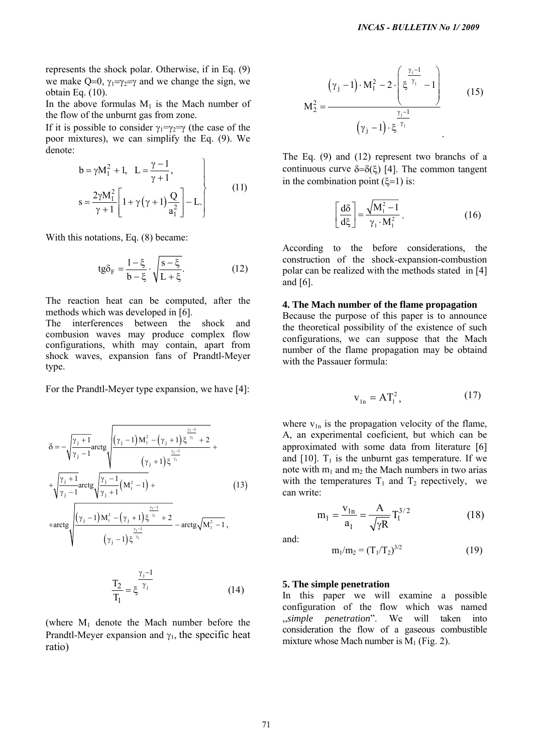represents the shock polar. Otherwise, if in Eq. (9) we make Q=0,  $\gamma_1 = \gamma_2 = \gamma$  and we change the sign, we obtain Eq. (10).

In the above formulas  $M_1$  is the Mach number of the flow of the unburnt gas from zone.

If it is possible to consider  $\gamma_1 = \gamma_2 = \gamma$  (the case of the poor mixtures), we can simplify the Eq. (9). We denote:

$$
b = \gamma M_1^2 + 1, \quad L = \frac{\gamma - 1}{\gamma + 1},
$$
  
\n
$$
s = \frac{2\gamma M_1^2}{\gamma + 1} \left[ 1 + \gamma (\gamma + 1) \frac{Q}{a_1^2} \right] - L.
$$
  
\n
$$
\left[ \frac{d\delta}{dt} \right] = \frac{\sqrt{M_1^2}}{M_1^2}
$$
  
\n
$$
\left[ \frac{d\delta}{dt} \right] = \frac{\sqrt{M_1^2}}{M_1^2}
$$

With this notations, Eq.  $(8)$  became:

$$
\text{tg}\delta_F = \frac{1-\xi}{b-\xi} \cdot \sqrt{\frac{s-\xi}{L+\xi}}.\tag{12}
$$

The reaction heat can be computed, after the methods which was developed in [6].

The interferences between the shock and combusion waves may produce complex flow configurations, whith may contain, apart from shock waves, expansion fans of Prandtl-Meyer type.

For the Prandtl-Meyer type expansion, we have [4]:

$$
\delta = -\sqrt{\frac{\gamma_{j} + 1}{\gamma_{j} - 1}} \arctg \sqrt{\frac{(\gamma_{j} - 1)M_{1}^{2} - (\gamma_{j} + 1)\xi^{\frac{\gamma_{1} - 1}{\gamma_{1}}} + \sqrt{\frac{\gamma_{j} + 1}{\gamma_{j} - 1}} \arctg \sqrt{\frac{\gamma_{j} - 1}{\gamma_{j} + 1}} (\mathbf{M}_{1}^{2} - 1) + \arctg \sqrt{\frac{(\gamma_{j} - 1)M_{1}^{2} - (\gamma_{j} + 1)\xi^{\frac{\gamma_{1} - 1}{\gamma_{1}}} + 2}{(\gamma_{j} - 1)K_{1}^{2} - (\gamma_{j} + 1)\xi^{\frac{\gamma_{1} - 1}{\gamma_{1}}} - \arctg \sqrt{\mathbf{M}_{1}^{2} - 1}},
$$
\n(13)

$$
(\gamma_j - 1) \xi^{\gamma_1}
$$

$$
\frac{T_2}{T_1} = \xi^{\frac{\gamma_j - 1}{\gamma_j}}
$$
\n(14) 5. The  
\nIn the

(where  $M_1$  denote the Mach number before the Prandtl-Meyer expansion and  $\gamma_1$ , the specific heat ratio)

$$
M_2^2 = \frac{(\gamma_j - 1) \cdot M_1^2 - 2 \cdot \left(\xi^{\frac{\gamma_j - 1}{\gamma_j}} - 1\right)}{(\gamma_j - 1) \cdot \xi^{\frac{\gamma_j - 1}{\gamma_j}}}
$$
(15)

The Eq. (9) and (12) represent two branchs of a continuous curve  $\delta = \delta(\xi)$  [4]. The common tangent in the combination point  $(\xi=1)$  is:

$$
\left[\frac{d\delta}{d\xi}\right] = \frac{\sqrt{M_1^2 - 1}}{\gamma_1 \cdot M_1^2} \,. \tag{16}
$$

A ccording to the before considerations, the c onstruction of the shock-expansion-combustion polar can be realized with the methods stated in [4] and [6].

## **4. The Mach number of the flame propagation**

configurations, we can suppose that the Mach number of the flame propagation may be obtaind Because the purpose of this paper is to announce the theoretical possibility of the existence of such with the Passauer formula:

$$
\mathbf{v}_{\ln} = \mathbf{A} \mathbf{T}_1^2, \tag{17}
$$

where  $v_{1n}$  is the propagation velocity of the flame, A, an experimental coeficient, but which can be approximated with some data from literature [6] and [10].  $T_1$  is the unburnt gas temperature. If we note with  $m_1$  and  $m_2$  the Mach numbers in two arias with the temperatures  $T_1$  and  $T_2$  repectively, we can write: *INCAS - BULLETIN No 1/ 2009*<br>  $\left(Y_1 - 1\right) \cdot M_1^2 - 2 \cdot \left[\xi^{T_1} - 1\right]$  (15<br>  $M_2^2 = \frac{\sum_{i=1}^{T_2} \left[\xi^{T_1} - 1\right]}{\left[\xi^{T_1} - 1\right]}$  (15<br>
The Eq. (9) and (12) represent two branchs of<br>
continuous curve  $\delta = \delta(\xi)$  [4]. The

$$
m_1 = \frac{v_{1n}}{a_1} = \frac{A}{\sqrt{\gamma R}} T_1^{3/2}
$$
 (18)

and:

$$
m_1/m_2 = (T_1/T_2)^{3/2} \tag{19}
$$

## **5. The simple penetration**

In this paper we will examine a possible *simple penetration*". We will taken into ,, consideration the flow of a gaseous combustible mixture whose Mach number is  $M_1$  (Fig. 2). configuration of the flow which was named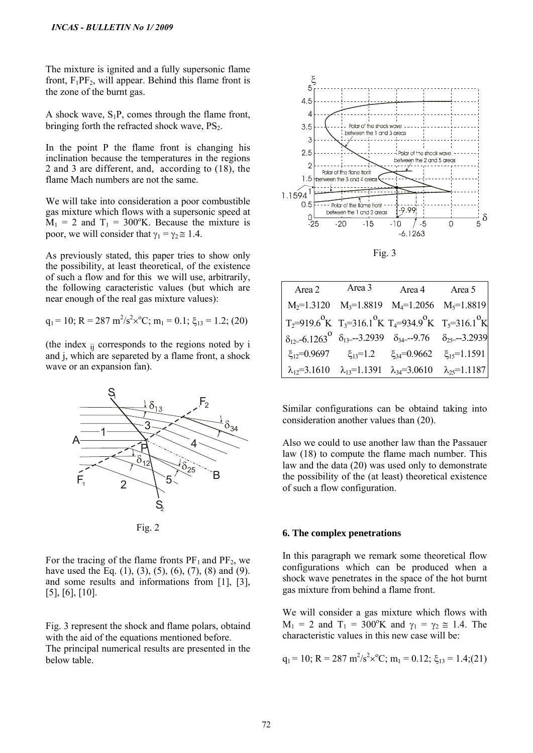The mixture is ignited and a fully supersonic flame front,  $F_1PF_2$ , will appear. Behind this flame front is the zone of the burnt gas.

A shock wave,  $S_1P$ , comes through the flame front, bringing forth the refracted shock wave,  $PS<sub>2</sub>$ .

In the point P the flame front is changing his 2 and 3 are different, and, according to  $(18)$ , the inclination because the temperatures in the regions flame Mach numbers are not the same.

poor, we will consider that  $\gamma_1 = \gamma_2 \approx 1.4$ . We will take into consideration a poor combustible gas mixture which flows with a supersonic speed at  $M_1 = 2$  and  $T_1 = 300$ °K. Because the mixture is

of such a flow and for this we will use, arbitrarily, As previously stated, this paper tries to show only the possibility, at least theoretical, of the existence the following caracteristic values (but which are near enough of the real gas mixture values):

$$
q_1 = 10
$$
; R = 287 m<sup>2</sup>/s<sup>2</sup>x<sup>o</sup>C; m<sub>1</sub> = 0.1;  $\xi_{13}$  = 1.2; (20)

(the index  $_{ij}$  corresponds to the regions noted by i and j, which are separeted by a flame front, a shock wave or an expansion fan).



For the tracing of the flame fronts  $PF_1$  and  $PF_2$ , we have used the Eq.  $(1)$ ,  $(3)$ ,  $(5)$ ,  $(6)$ ,  $(7)$ ,  $(8)$  and  $(9)$ . and some results and informations from  $[1]$ ,  $[3]$ , ], [6], [10]. [5

with the aid of the equations mentioned before. The principal numerical results are presented in the below table. Fig. 3 represent the shock and flame polars, obtaind



Fig. 3

|                                                                                                           | Area 2 Area 3 Area 4 Area 5                                                                     |  |
|-----------------------------------------------------------------------------------------------------------|-------------------------------------------------------------------------------------------------|--|
|                                                                                                           | $M_2=1.3120$ $M_3=1.8819$ $M_4=1.2056$ $M_5=1.8819$                                             |  |
| $T_2=919.6^{\circ}K$ $T_3=316.1^{\circ}K$ $T_4=934.9^{\circ}K$ $T_5=316.1^{\circ}K$                       |                                                                                                 |  |
| $\delta_{12}$ = 6.1263 <sup>0</sup> $\delta_{13}$ = -3.2939 $\delta_{34}$ = -9.76 $\delta_{25}$ = -3.2939 |                                                                                                 |  |
|                                                                                                           | $\xi_{12} = 0.9697$ $\xi_{13} = 1.2$ $\xi_{34} = 0.9662$ $\xi_{15} = 1.1591$                    |  |
|                                                                                                           | $\lambda_{12} = 3.1610$ $\lambda_{13} = 1.1391$ $\lambda_{34} = 3.0610$ $\lambda_{25} = 1.1187$ |  |

Similar configurations can be obtaind taking into consideration another values than (20).

Also we could to use another law than the Passauer law and the data (20) was used only to demonstrate the possibility of the (at least) theoretical existence law (18) to compute the flame mach number. This of such a flow configuration.

# **6. The complex penetrations**

In this paragraph we remark some theoretical flow configurations which can be produced when a shock wave penetrates in the space of the hot burnt gas mixture from behind a flame front.

characteristic values in this new case will be: We will consider a gas mixture which flows with  $M_1 = 2$  and  $T_1 = 300^\circ K$  and  $\gamma_1 = \gamma_2 \approx 1.4$ . The

$$
q_1 = 10
$$
; R = 287 m<sup>2</sup>/s<sup>2</sup>x<sup>o</sup>C; m<sub>1</sub> = 0.12;  $\xi_{13} = 1.4$ ; (21)